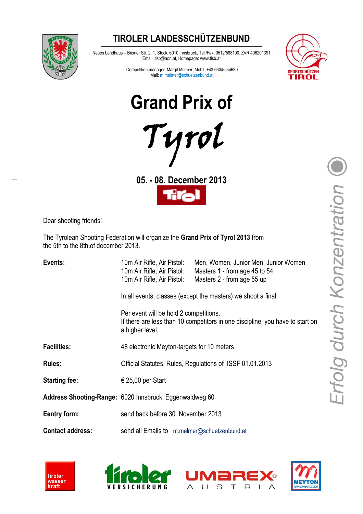### **TIROLER LANDESSCHÜTZENBUND**



Neues Landhaus – Brixner Str. 2, 1. Stock, 6010 Innsbruck, Tel./Fax: 0512/588190, ZVR.406201391 Email: tlsb@aon.at, Homepage: www.tlsb.at



Competition manager: Margit Melmer, Mobil: +43 660/5554680 Mail: m.melmer@schuetzenbund.at

**Grand Prix of**



**05. - 08. December 2013**



Dear shooting friends!

The Tyrolean Shooting Federation will organize the **Grand Prix of Tyrol 2013** from the 5th to the 8th.of december 2013.

| Events:                 | 10m Air Rifle, Air Pistol:<br>10m Air Rifle, Air Pistol:<br>10m Air Rifle, Air Pistol:                                                     | Men, Women, Junior Men, Junior Women<br>Masters 1 - from age 45 to 54<br>Masters 2 - from age 55 up |  |
|-------------------------|--------------------------------------------------------------------------------------------------------------------------------------------|-----------------------------------------------------------------------------------------------------|--|
|                         | In all events, classes (except the masters) we shoot a final.                                                                              |                                                                                                     |  |
|                         | Per event will be hold 2 competitions.<br>If there are less than 10 competitors in one discipline, you have to start on<br>a higher level. |                                                                                                     |  |
| <b>Facilities:</b>      | 48 electronic Meyton-targets for 10 meters                                                                                                 |                                                                                                     |  |
| <b>Rules:</b>           | Official Statutes, Rules, Regulations of ISSF 01.01.2013                                                                                   |                                                                                                     |  |
| <b>Starting fee:</b>    | € 25,00 per Start                                                                                                                          |                                                                                                     |  |
|                         | Address Shooting-Range: 6020 Innsbruck, Eggenwaldweg 60                                                                                    |                                                                                                     |  |
| Eentry form:            | send back before 30. November 2013                                                                                                         |                                                                                                     |  |
| <b>Contact address:</b> | send all Emails to m.melmer@schuetzenbund.at                                                                                               |                                                                                                     |  |







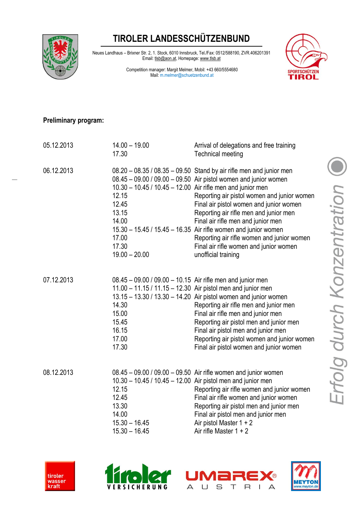# **TIROLER LANDESSCHÜTZENBUND**



Neues Landhaus – Brixner Str. 2, 1. Stock, 6010 Innsbruck, Tel./Fax: 0512/588190, ZVR.406201391 Email: tlsb@aon.at, Homepage: www.tlsb.at

> Competition manager: Margit Melmer, Mobil: +43 660/5554680 Mail: m.melmer@schuetzenbund.at



#### **Preliminary program:**

| 05.12.2013 | $14.00 - 19.00$<br>17.30                                                                                                            | Arrival of delegations and free training<br><b>Technical meeting</b>                                                                                                                                                                                                                                                                                                                                                                                                                              |
|------------|-------------------------------------------------------------------------------------------------------------------------------------|---------------------------------------------------------------------------------------------------------------------------------------------------------------------------------------------------------------------------------------------------------------------------------------------------------------------------------------------------------------------------------------------------------------------------------------------------------------------------------------------------|
| 06.12.2013 | 10.30 - 10.45 / 10.45 - 12.00 Air rifle men and junior men<br>12.15<br>12.45<br>13.15<br>14.00<br>17.00<br>17.30<br>$19.00 - 20.00$ | 08.20 - 08.35 / 08.35 - 09.50 Stand by air rifle men and junior men<br>08.45 - 09.00 / 09.00 - 09.50 Air pistol women and junior women<br>Reporting air pistol women and junior women<br>Final air pistol women and junior women<br>Reporting air rifle men and junior men<br>Final air rifle men and junior men<br>15.30 - 15.45 / 15.45 - 16.35 Air rifle women and junior women<br>Reporting air rifle women and junior women<br>Final air rifle women and junior women<br>unofficial training |
| 07.12.2013 | 08.45 - 09.00 / 09.00 - 10.15 Air rifle men and junior men<br>14.30<br>15.00<br>15.45<br>16.15<br>17.00<br>17.30                    | 11.00 - 11.15 / 11.15 - 12.30 Air pistol men and junior men<br>13.15 - 13.30 / 13.30 - 14.20 Air pistol women and junior women<br>Reporting air rifle men and junior men<br>Final air rifle men and junior men<br>Reporting air pistol men and junior men<br>Final air pistol men and junior men<br>Reporting air pistol women and junior women<br>Final air pistol women and junior women                                                                                                        |
| 08.12.2013 | 12.15<br>12.45<br>13.30<br>14.00<br>$15.30 - 16.45$<br>$15.30 - 16.45$                                                              | 08.45 - 09.00 / 09.00 - 09.50 Air rifle women and junior women<br>10.30 - 10.45 / 10.45 - 12.00 Air pistol men and junior men<br>Reporting air rifle women and junior women<br>Final air rifle women and junior women<br>Reporting air pistol men and junior men<br>Final air pistol men and junior men<br>Air pistol Master $1 + 2$<br>Air rifle Master $1 + 2$                                                                                                                                  |